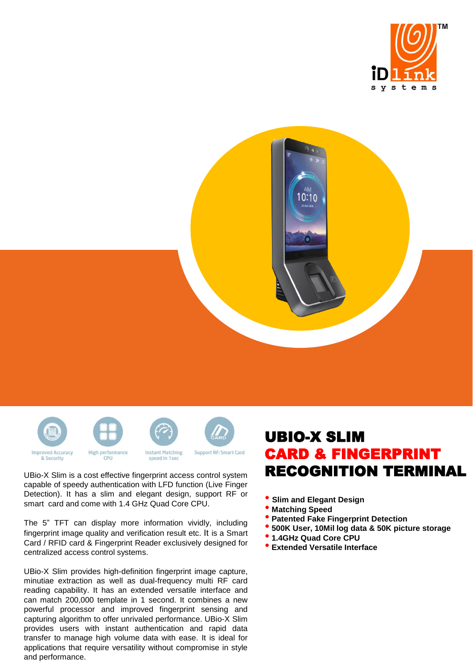





UBio-X Slim is a cost effective fingerprint access control system capable of speedy authentication with LFD function (Live Finger Detection). It has a slim and elegant design, support RF or smart card and come with 1.4 GHz Quad Core CPU.

The 5" TFT can display more information vividly, including fingerprint image quality and verification result etc. It is a Smart Card / RFID card & Fingerprint Reader exclusively designed for centralized access control systems.

UBio-X Slim provides high-definition fingerprint image capture, minutiae extraction as well as dual-frequency multi RF card reading capability. It has an extended versatile interface and can match 200,000 template in 1 second. It combines a new powerful processor and improved fingerprint sensing and capturing algorithm to offer unrivaled performance. UBio-X Slim provides users with instant authentication and rapid data transfer to manage high volume data with ease. It is ideal for applications that require versatility without compromise in style and performance.

## UBIO-X SLIM CARD & FINGERPRINT RECOGNITION TERMINAL

- **Slim and Elegant Design**
- **Matching Speed**
- **Patented Fake Fingerprint Detection**
- **500K User, 10Mil log data & 50K picture storage**
- **1.4GHz Quad Core CPU**
- **Extended Versatile Interface**